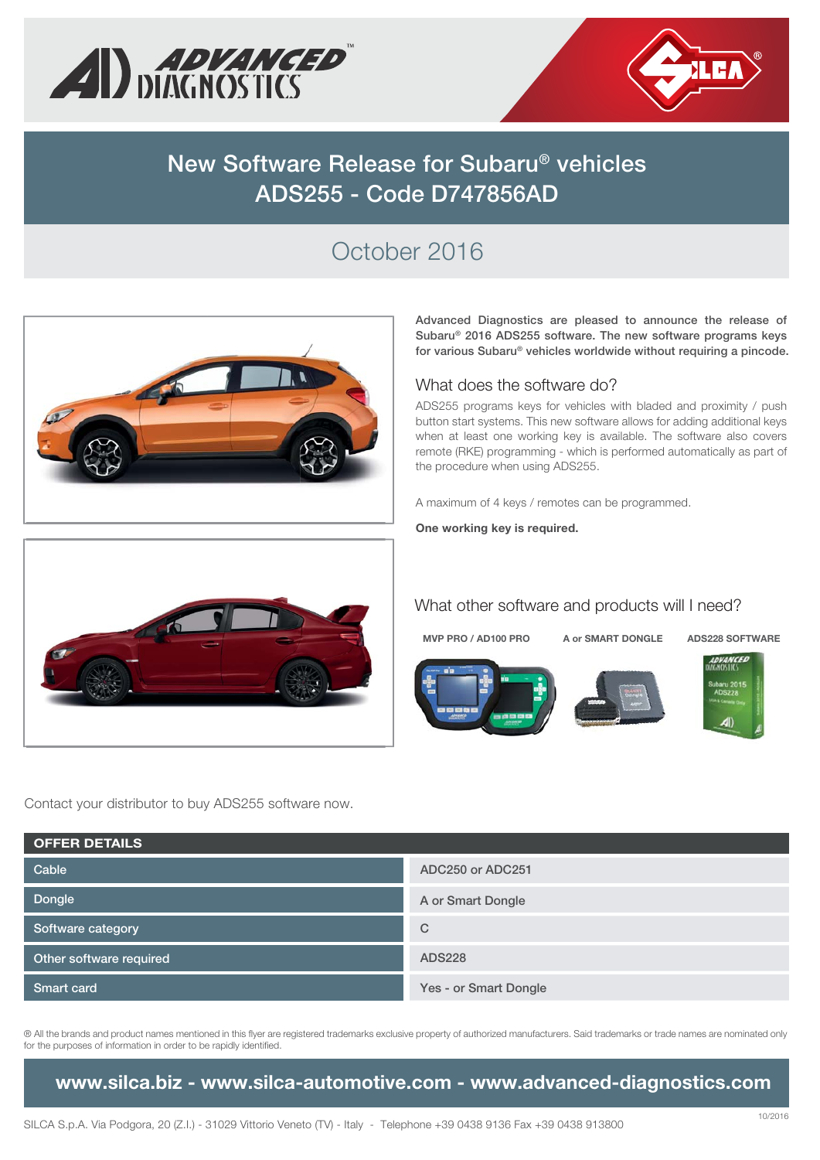



# **New Software Release for Subaru® vehicles ADS255 - Code D747856AD**

# October 2016



**Advanced Diagnostics are pleased to announce the release of Subaru® 2016 ADS255 software. The new software programs keys for various Subaru® vehicles worldwide without requiring a pincode.**

#### What does the software do?

ADS255 programs keys for vehicles with bladed and proximity / push button start systems. This new software allows for adding additional keys when at least one working key is available. The software also covers remote (RKE) programming - which is performed automatically as part of the procedure when using ADS255.

A maximum of 4 keys / remotes can be programmed.

**One working key is required.**



### What other software and products will I need?

**MVP PRO / AD100 PRO A or SMART DONGLE ADS228 SOFTWARE**









Contact your distributor to buy ADS255 software now.

| <b>OFFER DETAILS</b>    |                       |  |  |  |  |
|-------------------------|-----------------------|--|--|--|--|
| Cable                   | ADC250 or ADC251      |  |  |  |  |
| Dongle                  | A or Smart Dongle     |  |  |  |  |
| Software category       | $\mathsf{C}$          |  |  |  |  |
| Other software required | <b>ADS228</b>         |  |  |  |  |
| <b>Smart card</b>       | Yes - or Smart Dongle |  |  |  |  |

® All the brands and product names mentioned in this flyer are registered trademarks exclusive property of authorized manufacturers. Said trademarks or trade names are nominated only for the purposes of information in order to be rapidly identified.

**www.silca.biz - www.silca-automotive.com - www.advanced-diagnostics.com**